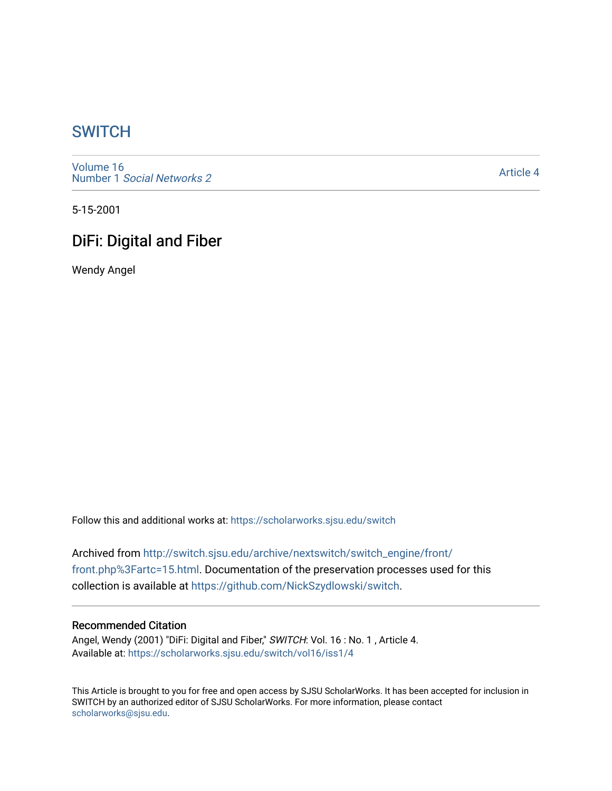# **SWITCH**

[Volume 16](https://scholarworks.sjsu.edu/switch/vol16) Number 1 [Social Networks 2](https://scholarworks.sjsu.edu/switch/vol16/iss1)

[Article 4](https://scholarworks.sjsu.edu/switch/vol16/iss1/4) 

5-15-2001

# DiFi: Digital and Fiber

Wendy Angel

Follow this and additional works at: [https://scholarworks.sjsu.edu/switch](https://scholarworks.sjsu.edu/switch?utm_source=scholarworks.sjsu.edu%2Fswitch%2Fvol16%2Fiss1%2F4&utm_medium=PDF&utm_campaign=PDFCoverPages)

Archived from [http://switch.sjsu.edu/archive/nextswitch/switch\\_engine/front/](http://switch.sjsu.edu/archive/nextswitch/switch_engine/front/front.php%3Fartc=15.html) [front.php%3Fartc=15.html](http://switch.sjsu.edu/archive/nextswitch/switch_engine/front/front.php%3Fartc=15.html). Documentation of the preservation processes used for this collection is available at [https://github.com/NickSzydlowski/switch.](https://github.com/NickSzydlowski/switch)

## Recommended Citation

Angel, Wendy (2001) "DiFi: Digital and Fiber," SWITCH: Vol. 16 : No. 1 , Article 4. Available at: [https://scholarworks.sjsu.edu/switch/vol16/iss1/4](https://scholarworks.sjsu.edu/switch/vol16/iss1/4?utm_source=scholarworks.sjsu.edu%2Fswitch%2Fvol16%2Fiss1%2F4&utm_medium=PDF&utm_campaign=PDFCoverPages) 

This Article is brought to you for free and open access by SJSU ScholarWorks. It has been accepted for inclusion in SWITCH by an authorized editor of SJSU ScholarWorks. For more information, please contact [scholarworks@sjsu.edu](mailto:scholarworks@sjsu.edu).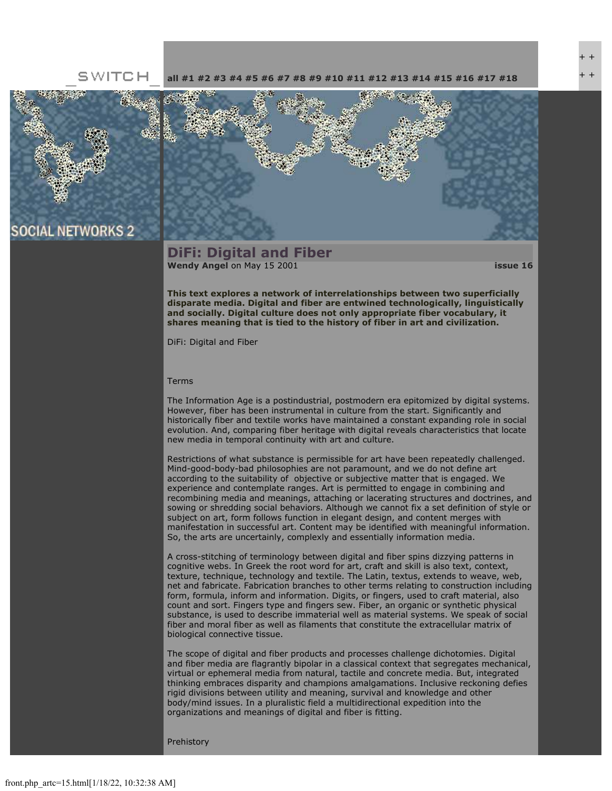## SWITCH





## **DiFi: Digital and Fiber [Wendy Angel](file:///Users/nszydlowski/Desktop/websites%20copy/Switch%20Journal/switch.sjsu.edu/archive/nextswitch/switch_engine/front/users.php_w%3d17.html)** on May 15 2001 **[issue 16](file:///Users/nszydlowski/Desktop/websites%20copy/Switch%20Journal/switch.sjsu.edu/archive/nextswitch/switch_engine/front/front.php_cat%3d20.html)**

**This text explores a network of interrelationships between two superficially disparate media. Digital and fiber are entwined technologically, linguistically and socially. Digital culture does not only appropriate fiber vocabulary, it shares meaning that is tied to the history of fiber in art and civilization.** 

DiFi: Digital and Fiber

#### Terms

The Information Age is a postindustrial, postmodern era epitomized by digital systems. However, fiber has been instrumental in culture from the start. Significantly and historically fiber and textile works have maintained a constant expanding role in social evolution. And, comparing fiber heritage with digital reveals characteristics that locate new media in temporal continuity with art and culture.

Restrictions of what substance is permissible for art have been repeatedly challenged. Mind-good-body-bad philosophies are not paramount, and we do not define art according to the suitability of objective or subjective matter that is engaged. We experience and contemplate ranges. Art is permitted to engage in combining and recombining media and meanings, attaching or lacerating structures and doctrines, and sowing or shredding social behaviors. Although we cannot fix a set definition of style or subject on art, form follows function in elegant design, and content merges with manifestation in successful art. Content may be identified with meaningful information. So, the arts are uncertainly, complexly and essentially information media.

A cross-stitching of terminology between digital and fiber spins dizzying patterns in cognitive webs. In Greek the root word for art, craft and skill is also text, context, texture, technique, technology and textile. The Latin, textus, extends to weave, web, net and fabricate. Fabrication branches to other terms relating to construction including form, formula, inform and information. Digits, or fingers, used to craft material, also count and sort. Fingers type and fingers sew. Fiber, an organic or synthetic physical substance, is used to describe immaterial well as material systems. We speak of social fiber and moral fiber as well as filaments that constitute the extracellular matrix of biological connective tissue.

The scope of digital and fiber products and processes challenge dichotomies. Digital and fiber media are flagrantly bipolar in a classical context that segregates mechanical, virtual or ephemeral media from natural, tactile and concrete media. But, integrated thinking embraces disparity and champions amalgamations. Inclusive reckoning defies rigid divisions between utility and meaning, survival and knowledge and other body/mind issues. In a pluralistic field a multidirectional expedition into the organizations and meanings of digital and fiber is fitting.

Prehistory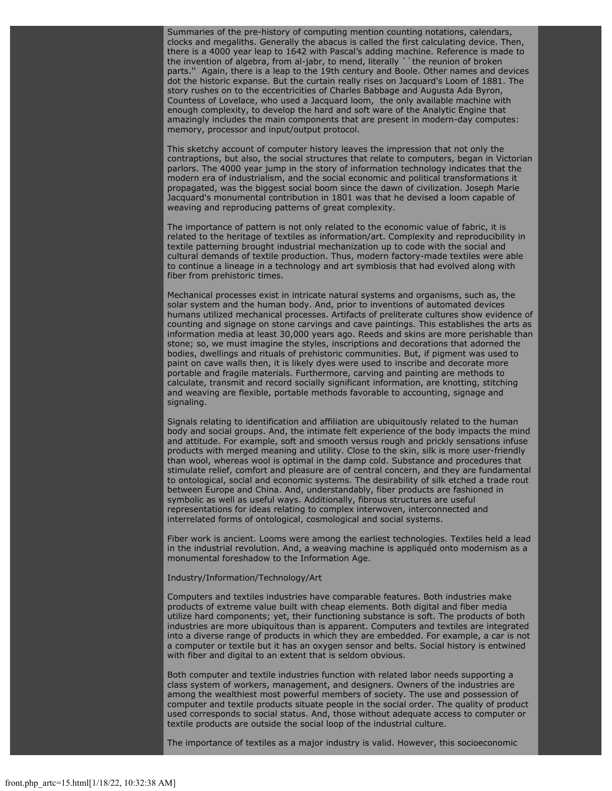Summaries of the pre-history of computing mention counting notations, calendars, clocks and megaliths. Generally the abacus is called the first calculating device. Then, there is a 4000 year leap to 1642 with Pascal's adding machine. Reference is made to the invention of algebra, from al-jabr, to mend, literally ``the reunion of broken parts.'' Again, there is a leap to the 19th century and Boole. Other names and devices dot the historic expanse. But the curtain really rises on Jacquard's Loom of 1881. The story rushes on to the eccentricities of Charles Babbage and Augusta Ada Byron, Countess of Lovelace, who used a Jacquard loom, the only available machine with enough complexity, to develop the hard and soft ware of the Analytic Engine that amazingly includes the main components that are present in modern-day computes: memory, processor and input/output protocol.

This sketchy account of computer history leaves the impression that not only the contraptions, but also, the social structures that relate to computers, began in Victorian parlors. The 4000 year jump in the story of information technology indicates that the modern era of industrialism, and the social economic and political transformations it propagated, was the biggest social boom since the dawn of civilization. Joseph Marie Jacquard's monumental contribution in 1801 was that he devised a loom capable of weaving and reproducing patterns of great complexity.

The importance of pattern is not only related to the economic value of fabric, it is related to the heritage of textiles as information/art. Complexity and reproducibility in textile patterning brought industrial mechanization up to code with the social and cultural demands of textile production. Thus, modern factory-made textiles were able to continue a lineage in a technology and art symbiosis that had evolved along with fiber from prehistoric times.

Mechanical processes exist in intricate natural systems and organisms, such as, the solar system and the human body. And, prior to inventions of automated devices humans utilized mechanical processes. Artifacts of preliterate cultures show evidence of counting and signage on stone carvings and cave paintings. This establishes the arts as information media at least 30,000 years ago. Reeds and skins are more perishable than stone; so, we must imagine the styles, inscriptions and decorations that adorned the bodies, dwellings and rituals of prehistoric communities. But, if pigment was used to paint on cave walls then, it is likely dyes were used to inscribe and decorate more portable and fragile materials. Furthermore, carving and painting are methods to calculate, transmit and record socially significant information, are knotting, stitching and weaving are flexible, portable methods favorable to accounting, signage and signaling.

Signals relating to identification and affiliation are ubiquitously related to the human body and social groups. And, the intimate felt experience of the body impacts the mind and attitude. For example, soft and smooth versus rough and prickly sensations infuse products with merged meaning and utility. Close to the skin, silk is more user-friendly than wool, whereas wool is optimal in the damp cold. Substance and procedures that stimulate relief, comfort and pleasure are of central concern, and they are fundamental to ontological, social and economic systems. The desirability of silk etched a trade rout between Europe and China. And, understandably, fiber products are fashioned in symbolic as well as useful ways. Additionally, fibrous structures are useful representations for ideas relating to complex interwoven, interconnected and interrelated forms of ontological, cosmological and social systems.

Fiber work is ancient. Looms were among the earliest technologies. Textiles held a lead in the industrial revolution. And, a weaving machine is appliquéd onto modernism as a monumental foreshadow to the Information Age.

### Industry/Information/Technology/Art

Computers and textiles industries have comparable features. Both industries make products of extreme value built with cheap elements. Both digital and fiber media utilize hard components; yet, their functioning substance is soft. The products of both industries are more ubiquitous than is apparent. Computers and textiles are integrated into a diverse range of products in which they are embedded. For example, a car is not a computer or textile but it has an oxygen sensor and belts. Social history is entwined with fiber and digital to an extent that is seldom obvious.

Both computer and textile industries function with related labor needs supporting a class system of workers, management, and designers. Owners of the industries are among the wealthiest most powerful members of society. The use and possession of computer and textile products situate people in the social order. The quality of product used corresponds to social status. And, those without adequate access to computer or textile products are outside the social loop of the industrial culture.

The importance of textiles as a major industry is valid. However, this socioeconomic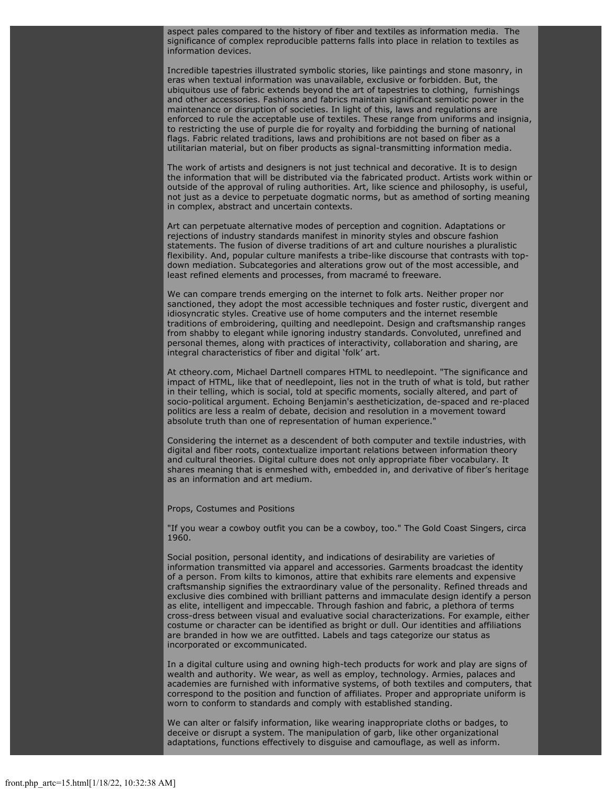aspect pales compared to the history of fiber and textiles as information media. The significance of complex reproducible patterns falls into place in relation to textiles as information devices.

Incredible tapestries illustrated symbolic stories, like paintings and stone masonry, in eras when textual information was unavailable, exclusive or forbidden. But, the ubiquitous use of fabric extends beyond the art of tapestries to clothing, furnishings and other accessories. Fashions and fabrics maintain significant semiotic power in the maintenance or disruption of societies. In light of this, laws and regulations are enforced to rule the acceptable use of textiles. These range from uniforms and insignia, to restricting the use of purple die for royalty and forbidding the burning of national flags. Fabric related traditions, laws and prohibitions are not based on fiber as a utilitarian material, but on fiber products as signal-transmitting information media.

The work of artists and designers is not just technical and decorative. It is to design the information that will be distributed via the fabricated product. Artists work within or outside of the approval of ruling authorities. Art, like science and philosophy, is useful, not just as a device to perpetuate dogmatic norms, but as amethod of sorting meaning in complex, abstract and uncertain contexts.

Art can perpetuate alternative modes of perception and cognition. Adaptations or rejections of industry standards manifest in minority styles and obscure fashion statements. The fusion of diverse traditions of art and culture nourishes a pluralistic flexibility. And, popular culture manifests a tribe-like discourse that contrasts with topdown mediation. Subcategories and alterations grow out of the most accessible, and least refined elements and processes, from macramé to freeware.

We can compare trends emerging on the internet to folk arts. Neither proper nor sanctioned, they adopt the most accessible techniques and foster rustic, divergent and idiosyncratic styles. Creative use of home computers and the internet resemble traditions of embroidering, quilting and needlepoint. Design and craftsmanship ranges from shabby to elegant while ignoring industry standards. Convoluted, unrefined and personal themes, along with practices of interactivity, collaboration and sharing, are integral characteristics of fiber and digital 'folk' art.

At ctheory.com, Michael Dartnell compares HTML to needlepoint. "The significance and impact of HTML, like that of needlepoint, lies not in the truth of what is told, but rather in their telling, which is social, told at specific moments, socially altered, and part of socio-political argument. Echoing Benjamin's aestheticization, de-spaced and re-placed politics are less a realm of debate, decision and resolution in a movement toward absolute truth than one of representation of human experience."

Considering the internet as a descendent of both computer and textile industries, with digital and fiber roots, contextualize important relations between information theory and cultural theories. Digital culture does not only appropriate fiber vocabulary. It shares meaning that is enmeshed with, embedded in, and derivative of fiber's heritage as an information and art medium.

Props, Costumes and Positions

"If you wear a cowboy outfit you can be a cowboy, too." The Gold Coast Singers, circa 1960.

Social position, personal identity, and indications of desirability are varieties of information transmitted via apparel and accessories. Garments broadcast the identity of a person. From kilts to kimonos, attire that exhibits rare elements and expensive craftsmanship signifies the extraordinary value of the personality. Refined threads and exclusive dies combined with brilliant patterns and immaculate design identify a person as elite, intelligent and impeccable. Through fashion and fabric, a plethora of terms cross-dress between visual and evaluative social characterizations. For example, either costume or character can be identified as bright or dull. Our identities and affiliations are branded in how we are outfitted. Labels and tags categorize our status as incorporated or excommunicated.

In a digital culture using and owning high-tech products for work and play are signs of wealth and authority. We wear, as well as employ, technology. Armies, palaces and academies are furnished with informative systems, of both textiles and computers, that correspond to the position and function of affiliates. Proper and appropriate uniform is worn to conform to standards and comply with established standing.

We can alter or falsify information, like wearing inappropriate cloths or badges, to deceive or disrupt a system. The manipulation of garb, like other organizational adaptations, functions effectively to disguise and camouflage, as well as inform.